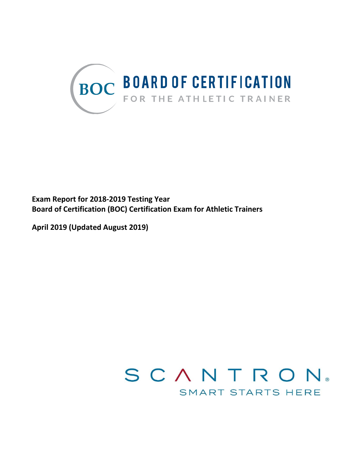

**Exam Report for 2018-2019 Testing Year Board of Certification (BOC) Certification Exam for Athletic Trainers**

**April 2019 (Updated August 2019)**

# SCANTRON® SMART STARTS HERE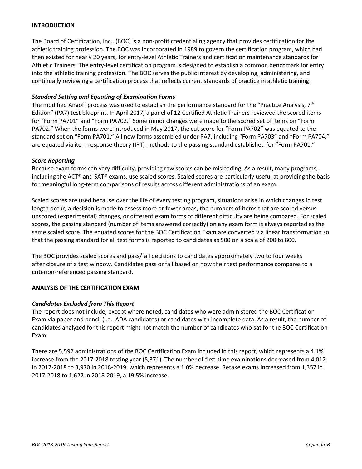## **INTRODUCTION**

The Board of Certification, Inc., (BOC) is a non-profit credentialing agency that provides certification for the athletic training profession. The BOC was incorporated in 1989 to govern the certification program, which had then existed for nearly 20 years, for entry-level Athletic Trainers and certification maintenance standards for Athletic Trainers. The entry-level certification program is designed to establish a common benchmark for entry into the athletic training profession. The BOC serves the public interest by developing, administering, and continually reviewing a certification process that reflects current standards of practice in athletic training.

## *Standard Setting and Equating of Examination Forms*

The modified Angoff process was used to establish the performance standard for the "Practice Analysis,  $7<sup>th</sup>$ Edition" (PA7) test blueprint. In April 2017, a panel of 12 Certified Athletic Trainers reviewed the scored items for "Form PA701" and "Form PA702." Some minor changes were made to the scored set of items on "Form PA702." When the forms were introduced in May 2017, the cut score for "Form PA702" was equated to the standard set on "Form PA701." All new forms assembled under PA7, including "Form PA703" and "Form PA704," are equated via item response theory (IRT) methods to the passing standard established for "Form PA701."

## *Score Reporting*

Because exam forms can vary difficulty, providing raw scores can be misleading. As a result, many programs, including the ACT® and SAT® exams, use scaled scores. Scaled scores are particularly useful at providing the basis for meaningful long-term comparisons of results across different administrations of an exam.

Scaled scores are used because over the life of every testing program, situations arise in which changes in test length occur, a decision is made to assess more or fewer areas, the numbers of items that are scored versus unscored (experimental) changes, or different exam forms of different difficulty are being compared. For scaled scores, the passing standard (number of items answered correctly) on any exam form is always reported as the same scaled score. The equated scores for the BOC Certification Exam are converted via linear transformation so that the passing standard for all test forms is reported to candidates as 500 on a scale of 200 to 800.

The BOC provides scaled scores and pass/fail decisions to candidates approximately two to four weeks after closure of a test window. Candidates pass or fail based on how their test performance compares to a criterion-referenced passing standard.

## **ANALYSIS OF THE CERTIFICATION EXAM**

## *Candidates Excluded from This Report*

The report does not include, except where noted, candidates who were administered the BOC Certification Exam via paper and pencil (i.e., ADA candidates) or candidates with incomplete data. As a result, the number of candidates analyzed for this report might not match the number of candidates who sat for the BOC Certification Exam.

There are 5,592 administrations of the BOC Certification Exam included in this report, which represents a 4.1% increase from the 2017-2018 testing year (5,371). The number of first-time examinations decreased from 4,012 in 2017-2018 to 3,970 in 2018-2019, which represents a 1.0% decrease. Retake exams increased from 1,357 in 2017-2018 to 1,622 in 2018-2019, a 19.5% increase.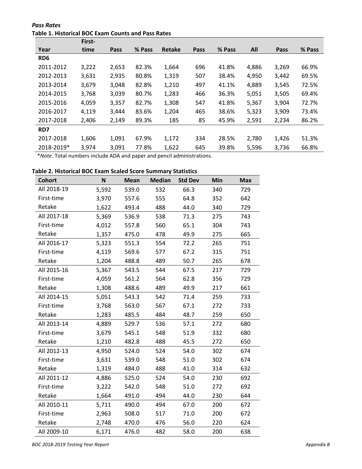*Pass Rates* **Table 1. Historical BOC Exam Counts and Pass Rates**

| % Pass |
|--------|
|        |
|        |
| 66.9%  |
| 69.5%  |
| 72.5%  |
| 69.4%  |
| 72.7%  |
| 73.4%  |
| 86.2%  |
|        |
| 51.3%  |
| 66.8%  |
|        |

\**Note*. Total numbers include ADA and paper and pencil administrations.

## **Table 2. Historical BOC Exam Scaled Score Summary Statistics**

| <b>Cohort</b> | N     | <b>Mean</b> | <b>Median</b> | <b>Std Dev</b> | Min | <b>Max</b> |
|---------------|-------|-------------|---------------|----------------|-----|------------|
| All 2018-19   | 5,592 | 539.0       | 532           | 66.3           | 340 | 729        |
| First-time    | 3,970 | 557.6       | 555           | 64.8           | 352 | 642        |
| Retake        | 1,622 | 493.4       | 488           | 44.0           | 340 | 729        |
| All 2017-18   | 5,369 | 536.9       | 538           | 71.3           | 275 | 743        |
| First-time    | 4,012 | 557.8       | 560           | 65.1           | 304 | 743        |
| Retake        | 1,357 | 475.0       | 478           | 49.9           | 275 | 665        |
| All 2016-17   | 5,323 | 551.3       | 554           | 72.2           | 265 | 751        |
| First-time    | 4,119 | 569.6       | 577           | 67.2           | 315 | 751        |
| Retake        | 1,204 | 488.8       | 489           | 50.7           | 265 | 678        |
| All 2015-16   | 5,367 | 543.5       | 544           | 67.5           | 217 | 729        |
| First-time    | 4,059 | 561.2       | 564           | 62.8           | 356 | 729        |
| Retake        | 1,308 | 488.6       | 489           | 49.9           | 217 | 661        |
| All 2014-15   | 5,051 | 543.3       | 542           | 71.4           | 259 | 733        |
| First-time    | 3,768 | 563.0       | 567           | 67.1           | 272 | 733        |
| Retake        | 1,283 | 485.5       | 484           | 48.7           | 259 | 650        |
| All 2013-14   | 4,889 | 529.7       | 536           | 57.1           | 272 | 680        |
| First-time    | 3,679 | 545.1       | 548           | 51.9           | 332 | 680        |
| Retake        | 1,210 | 482.8       | 488           | 45.5           | 272 | 650        |
| All 2012-13   | 4,950 | 524.0       | 524           | 54.0           | 302 | 674        |
| First-time    | 3,631 | 539.0       | 548           | 51.0           | 302 | 674        |
| Retake        | 1,319 | 484.0       | 488           | 41.0           | 314 | 632        |
| All 2011-12   | 4,886 | 525.0       | 524           | 54.0           | 230 | 692        |
| First-time    | 3,222 | 542.0       | 548           | 51.0           | 272 | 692        |
| Retake        | 1,664 | 491.0       | 494           | 44.0           | 230 | 644        |
| All 2010-11   | 5,711 | 490.0       | 494           | 67.0           | 200 | 672        |
| First-time    | 2,963 | 508.0       | 517           | 71.0           | 200 | 672        |
| Retake        | 2,748 | 470.0       | 476           | 56.0           | 220 | 624        |
| All 2009-10   | 6,171 | 476.0       | 482           | 58.0           | 200 | 638        |

*BOC 2018-2019 Testing Year Report Appendix B*